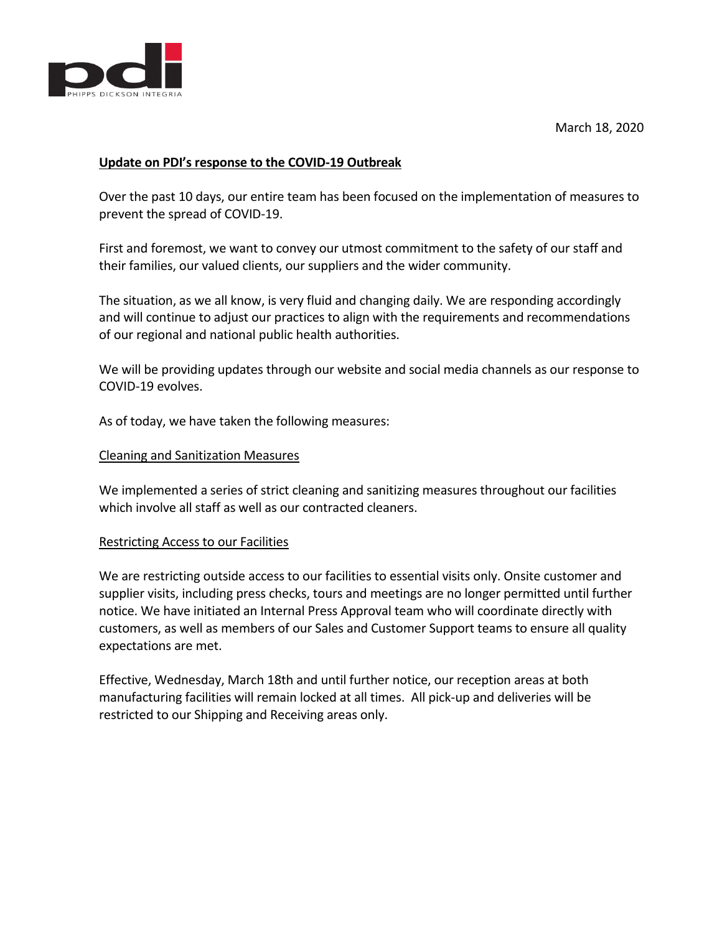

# **Update on PDI's response to the COVID-19 Outbreak**

Over the past 10 days, our entire team has been focused on the implementation of measures to prevent the spread of COVID-19.

First and foremost, we want to convey our utmost commitment to the safety of our staff and their families, our valued clients, our suppliers and the wider community.

The situation, as we all know, is very fluid and changing daily. We are responding accordingly and will continue to adjust our practices to align with the requirements and recommendations of our regional and national public health authorities.

We will be providing updates through our website and social media channels as our response to COVID-19 evolves.

As of today, we have taken the following measures:

### Cleaning and Sanitization Measures

We implemented a series of strict cleaning and sanitizing measures throughout our facilities which involve all staff as well as our contracted cleaners.

#### Restricting Access to our Facilities

We are restricting outside access to our facilities to essential visits only. Onsite customer and supplier visits, including press checks, tours and meetings are no longer permitted until further notice. We have initiated an Internal Press Approval team who will coordinate directly with customers, as well as members of our Sales and Customer Support teams to ensure all quality expectations are met.

Effective, Wednesday, March 18th and until further notice, our reception areas at both manufacturing facilities will remain locked at all times. All pick-up and deliveries will be restricted to our Shipping and Receiving areas only.